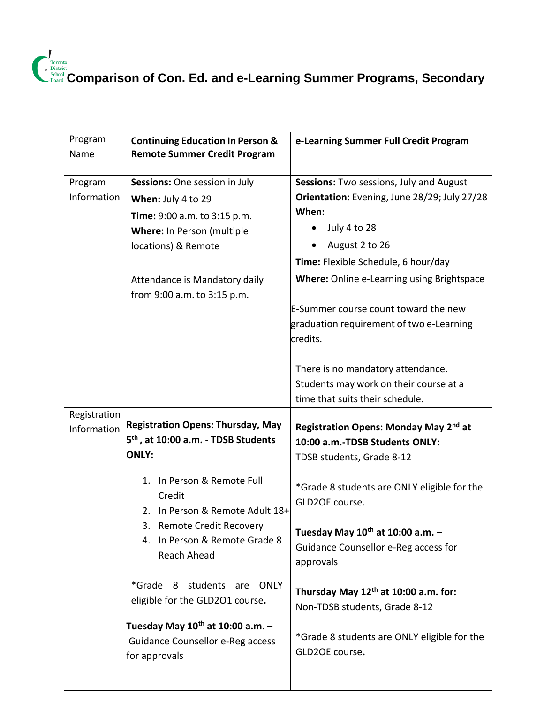| Program<br>Name | <b>Continuing Education In Person &amp;</b><br><b>Remote Summer Credit Program</b>                | e-Learning Summer Full Credit Program                                                                          |
|-----------------|---------------------------------------------------------------------------------------------------|----------------------------------------------------------------------------------------------------------------|
| Program         | Sessions: One session in July                                                                     | Sessions: Two sessions, July and August                                                                        |
| Information     | When: July 4 to 29                                                                                | Orientation: Evening, June 28/29; July 27/28                                                                   |
|                 | Time: 9:00 a.m. to 3:15 p.m.                                                                      | When:                                                                                                          |
|                 | Where: In Person (multiple                                                                        | July 4 to 28                                                                                                   |
|                 | locations) & Remote                                                                               | August 2 to 26                                                                                                 |
|                 |                                                                                                   | Time: Flexible Schedule, 6 hour/day                                                                            |
|                 | Attendance is Mandatory daily<br>from 9:00 a.m. to 3:15 p.m.                                      | Where: Online e-Learning using Brightspace                                                                     |
|                 |                                                                                                   | E-Summer course count toward the new<br>graduation requirement of two e-Learning<br>credits.                   |
|                 |                                                                                                   | There is no mandatory attendance.<br>Students may work on their course at a<br>time that suits their schedule. |
| Registration    |                                                                                                   |                                                                                                                |
| Information     | <b>Registration Opens: Thursday, May</b>                                                          | Registration Opens: Monday May 2 <sup>nd</sup> at                                                              |
|                 | 5 <sup>th</sup> , at 10:00 a.m. - TDSB Students<br><b>ONLY:</b>                                   | 10:00 a.m.-TDSB Students ONLY:                                                                                 |
|                 |                                                                                                   | TDSB students, Grade 8-12                                                                                      |
|                 | 1. In Person & Remote Full<br>Credit<br>2. In Person & Remote Adult 18+                           | *Grade 8 students are ONLY eligible for the<br>GLD2OE course.                                                  |
|                 | 3. Remote Credit Recovery<br>4. In Person & Remote Grade 8<br>Reach Ahead                         | Tuesday May $10^{th}$ at 10:00 a.m. -<br>Guidance Counsellor e-Reg access for<br>approvals                     |
|                 | *Grade 8 students are ONLY<br>eligible for the GLD2O1 course.                                     | Thursday May 12 <sup>th</sup> at 10:00 a.m. for:<br>Non-TDSB students, Grade 8-12                              |
|                 | Tuesday May 10 <sup>th</sup> at 10:00 a.m. -<br>Guidance Counsellor e-Reg access<br>for approvals | *Grade 8 students are ONLY eligible for the<br>GLD2OE course.                                                  |
|                 |                                                                                                   |                                                                                                                |